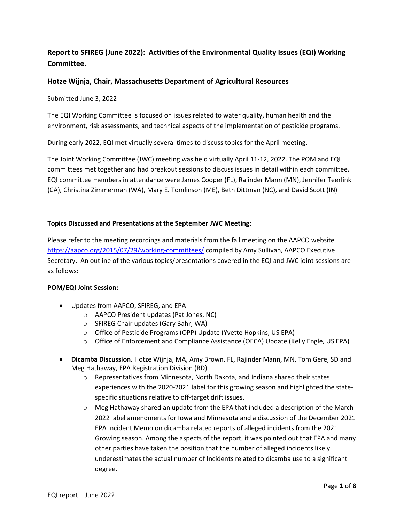# Report to SFIREG (June 2022): Activities of the Environmental Quality Issues (EQI) Working Committee.

# Hotze Wijnja, Chair, Massachusetts Department of Agricultural Resources

Submitted June 3, 2022

The EQI Working Committee is focused on issues related to water quality, human health and the environment, risk assessments, and technical aspects of the implementation of pesticide programs.

During early 2022, EQI met virtually several times to discuss topics for the April meeting.

The Joint Working Committee (JWC) meeting was held virtually April 11-12, 2022. The POM and EQI committees met together and had breakout sessions to discuss issues in detail within each committee. EQI committee members in attendance were James Cooper (FL), Rajinder Mann (MN), Jennifer Teerlink (CA), Christina Zimmerman (WA), Mary E. Tomlinson (ME), Beth Dittman (NC), and David Scott (IN)

## Topics Discussed and Presentations at the September JWC Meeting:

Please refer to the meeting recordings and materials from the fall meeting on the AAPCO website https://aapco.org/2015/07/29/working-committees/ compiled by Amy Sullivan, AAPCO Executive Secretary. An outline of the various topics/presentations covered in the EQI and JWC joint sessions are as follows:

#### POM/EQI Joint Session:

- Updates from AAPCO, SFIREG, and EPA
	- o AAPCO President updates (Pat Jones, NC)
	- o SFIREG Chair updates (Gary Bahr, WA)
	- o Office of Pesticide Programs (OPP) Update (Yvette Hopkins, US EPA)
	- o Office of Enforcement and Compliance Assistance (OECA) Update (Kelly Engle, US EPA)
- Dicamba Discussion. Hotze Wijnja, MA, Amy Brown, FL, Rajinder Mann, MN, Tom Gere, SD and Meg Hathaway, EPA Registration Division (RD)
	- o Representatives from Minnesota, North Dakota, and Indiana shared their states experiences with the 2020-2021 label for this growing season and highlighted the statespecific situations relative to off-target drift issues.
	- o Meg Hathaway shared an update from the EPA that included a description of the March 2022 label amendments for Iowa and Minnesota and a discussion of the December 2021 EPA Incident Memo on dicamba related reports of alleged incidents from the 2021 Growing season. Among the aspects of the report, it was pointed out that EPA and many other parties have taken the position that the number of alleged incidents likely underestimates the actual number of Incidents related to dicamba use to a significant degree.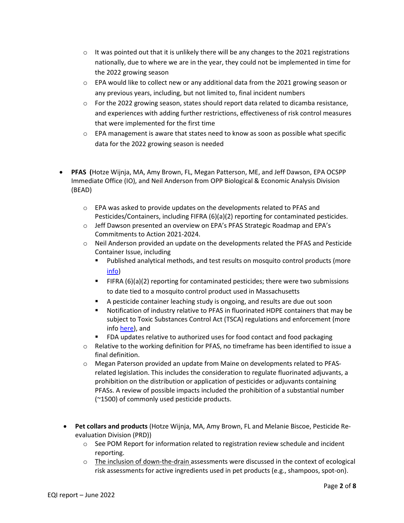- $\circ$  It was pointed out that it is unlikely there will be any changes to the 2021 registrations nationally, due to where we are in the year, they could not be implemented in time for the 2022 growing season
- $\circ$  EPA would like to collect new or any additional data from the 2021 growing season or any previous years, including, but not limited to, final incident numbers
- $\circ$  For the 2022 growing season, states should report data related to dicamba resistance, and experiences with adding further restrictions, effectiveness of risk control measures that were implemented for the first time
- $\circ$  EPA management is aware that states need to know as soon as possible what specific data for the 2022 growing season is needed
- PFAS (Hotze Wijnja, MA, Amy Brown, FL, Megan Patterson, ME, and Jeff Dawson, EPA OCSPP Immediate Office (IO), and Neil Anderson from OPP Biological & Economic Analysis Division (BEAD)
	- $\circ$  EPA was asked to provide updates on the developments related to PFAS and Pesticides/Containers, including FIFRA (6)(a)(2) reporting for contaminated pesticides.
	- o Jeff Dawson presented an overview on EPA's PFAS Strategic Roadmap and EPA's Commitments to Action 2021-2024.
	- o Neil Anderson provided an update on the developments related the PFAS and Pesticide Container Issue, including
		- Published analytical methods, and test results on mosquito control products (more info)
		- FIFRA (6)(a)(2) reporting for contaminated pesticides; there were two submissions to date tied to a mosquito control product used in Massachusetts
		- A pesticide container leaching study is ongoing, and results are due out soon
		- Notification of industry relative to PFAS in fluorinated HDPE containers that may be subject to Toxic Substances Control Act (TSCA) regulations and enforcement (more info here), and
		- **FDA updates relative to authorized uses for food contact and food packaging**
	- $\circ$  Relative to the working definition for PFAS, no timeframe has been identified to issue a final definition.
	- o Megan Paterson provided an update from Maine on developments related to PFASrelated legislation. This includes the consideration to regulate fluorinated adjuvants, a prohibition on the distribution or application of pesticides or adjuvants containing PFASs. A review of possible impacts included the prohibition of a substantial number (~1500) of commonly used pesticide products.
	- Pet collars and products (Hotze Wijnja, MA, Amy Brown, FL and Melanie Biscoe, Pesticide Reevaluation Division (PRD))
		- $\circ$  See POM Report for information related to registration review schedule and incident reporting.
		- $\circ$  The inclusion of down-the-drain assessments were discussed in the context of ecological risk assessments for active ingredients used in pet products (e.g., shampoos, spot-on).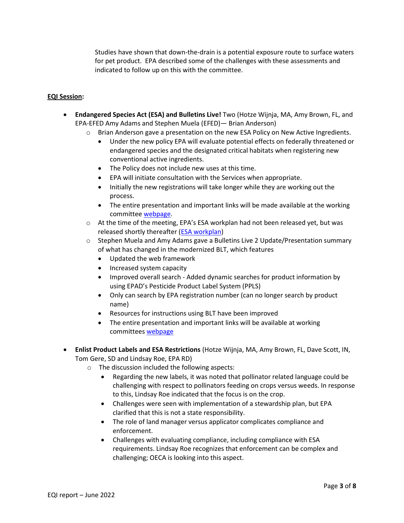Studies have shown that down-the-drain is a potential exposure route to surface waters for pet product. EPA described some of the challenges with these assessments and indicated to follow up on this with the committee.

## EQI Session:

- Endangered Species Act (ESA) and Bulletins Live! Two (Hotze Wijnja, MA, Amy Brown, FL, and EPA-EFED Amy Adams and Stephen Muela (EFED)— Brian Anderson)
	- $\circ$  Brian Anderson gave a presentation on the new ESA Policy on New Active Ingredients.
		- Under the new policy EPA will evaluate potential effects on federally threatened or endangered species and the designated critical habitats when registering new conventional active ingredients.
		- The Policy does not include new uses at this time.
		- EPA will initiate consultation with the Services when appropriate.
		- Initially the new registrations will take longer while they are working out the process.
		- The entire presentation and important links will be made available at the working committee webpage.
	- $\circ$  At the time of the meeting, EPA's ESA workplan had not been released yet, but was released shortly thereafter (**ESA workplan**)
	- $\circ$  Stephen Muela and Amy Adams gave a Bulletins Live 2 Update/Presentation summary of what has changed in the modernized BLT, which features
		- Updated the web framework
		- Increased system capacity
		- Improved overall search Added dynamic searches for product information by using EPAD's Pesticide Product Label System (PPLS)
		- Only can search by EPA registration number (can no longer search by product name)
		- Resources for instructions using BLT have been improved
		- The entire presentation and important links will be available at working committees webpage
- Enlist Product Labels and ESA Restrictions (Hotze Wijnja, MA, Amy Brown, FL, Dave Scott, IN, Tom Gere, SD and Lindsay Roe, EPA RD)
	- o The discussion included the following aspects:
		- Regarding the new labels, it was noted that pollinator related language could be challenging with respect to pollinators feeding on crops versus weeds. In response to this, Lindsay Roe indicated that the focus is on the crop.
		- Challenges were seen with implementation of a stewardship plan, but EPA clarified that this is not a state responsibility.
		- The role of land manager versus applicator complicates compliance and enforcement.
		- Challenges with evaluating compliance, including compliance with ESA requirements. Lindsay Roe recognizes that enforcement can be complex and challenging; OECA is looking into this aspect.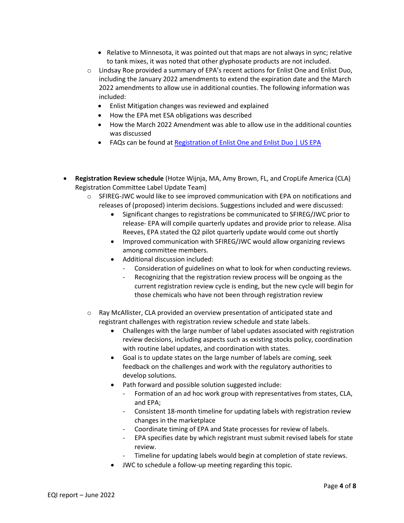- $\bullet$  Relative to Minnesota, it was pointed out that maps are not always in sync; relative to tank mixes, it was noted that other glyphosate products are not included.
- $\circ$  Lindsay Roe provided a summary of EPA's recent actions for Enlist One and Enlist Duo, including the January 2022 amendments to extend the expiration date and the March 2022 amendments to allow use in additional counties. The following information was included:
	- Enlist Mitigation changes was reviewed and explained
	- How the EPA met ESA obligations was described
	- How the March 2022 Amendment was able to allow use in the additional counties was discussed
	- FAQs can be found at Registration of Enlist One and Enlist Duo | US EPA
- Registration Review schedule (Hotze Wijnja, MA, Amy Brown, FL, and CropLife America (CLA) Registration Committee Label Update Team)
	- o SFIREG-JWC would like to see improved communication with EPA on notifications and releases of (proposed) interim decisions. Suggestions included and were discussed:
		- Significant changes to registrations be communicated to SFIREG/JWC prior to release- EPA will compile quarterly updates and provide prior to release. Alisa Reeves, EPA stated the Q2 pilot quarterly update would come out shortly
		- Improved communication with SFIREG/JWC would allow organizing reviews among committee members.
		- Additional discussion included:
			- Consideration of guidelines on what to look for when conducting reviews.
			- Recognizing that the registration review process will be ongoing as the current registration review cycle is ending, but the new cycle will begin for those chemicals who have not been through registration review
	- o Ray McAllister, CLA provided an overview presentation of anticipated state and registrant challenges with registration review schedule and state labels.
		- Challenges with the large number of label updates associated with registration review decisions, including aspects such as existing stocks policy, coordination with routine label updates, and coordination with states.
		- Goal is to update states on the large number of labels are coming, seek feedback on the challenges and work with the regulatory authorities to develop solutions.
		- Path forward and possible solution suggested include:
			- Formation of an ad hoc work group with representatives from states, CLA, and EPA;
			- Consistent 18-month timeline for updating labels with registration review changes in the marketplace
			- Coordinate timing of EPA and State processes for review of labels.
			- EPA specifies date by which registrant must submit revised labels for state review.
				- Timeline for updating labels would begin at completion of state reviews.
		- JWC to schedule a follow-up meeting regarding this topic.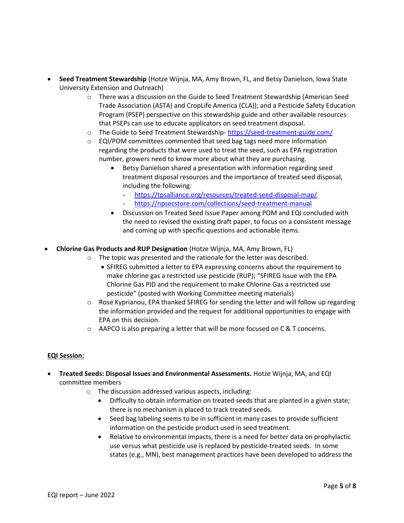- Seed Treatment Stewardship (Hotze Wijnja, MA, Amy Brown, FL, and Betsy Danielson, Iowa State University Extension and Outreach)
	- o There was a discussion on the Guide to Seed Treatment Stewardship (American Seed Trade Association (ASTA) and CropLife America (CLA)); and a Pesticide Safety Education Program (PSEP) perspective on this stewardship guide and other available resources that PSEPs can use to educate applicators on seed treatment disposal.
	- o The Guide to Seed Treatment Stewardship- https://seed-treatment-guide.com/
	- o EQI/POM committees commented that seed bag tags need more information regarding the products that were used to treat the seed, such as EPA registration number, growers need to know more about what they are purchasing.
		- Betsy Danielson shared a presentation with information regarding seed treatment disposal resources and the importance of treated seed disposal, including the following:
			- https://tpsalliance.org/resources/treated-seed-disposal-map/
			- https://npsecstore.com/collections/seed-treatment-manual
		- Discussion on Treated Seed Issue Paper among POM and EQI concluded with the need to revised the existing draft paper, to focus on a consistent message and coming up with specific questions and actionable items.
- Chlorine Gas Products and RUP Designation (Hotze Wijnja, MA, Amy Brown, FL)
	- o The topic was presented and the rationale for the letter was described.
		- SFIREG submitted a letter to EPA expressing concerns about the requirement to make chlorine gas a restricted use pesticide (RUP); "SFIREG Issue with the EPA Chlorine Gas PID and the requirement to make Chlorine Gas a restricted use pesticide" (posted with Working Committee meeting materials)
	- $\circ$  Rose Kyprianou, EPA thanked SFIREG for sending the letter and will follow up regarding the information provided and the request for additional opportunities to engage with EPA on this decision.
	- $\circ$  AAPCO is also preparing a letter that will be more focused on C & T concerns.

# EQI Session:

- Treated Seeds: Disposal Issues and Environmental Assessments. Hotze Wijnja, MA, and EQI committee members
	- o The discussion addressed various aspects, including:
		- Difficulty to obtain information on treated seeds that are planted in a given state; there is no mechanism is placed to track treated seeds.
		- Seed bag labeling seems to be in sufficient in many cases to provide sufficient information on the pesticide product used in seed treatment.
		- Relative to environmental impacts, there is a need for better data on prophylactic use versus what pesticide use is replaced by pesticide-treated seeds. In some states (e.g., MN), best management practices have been developed to address the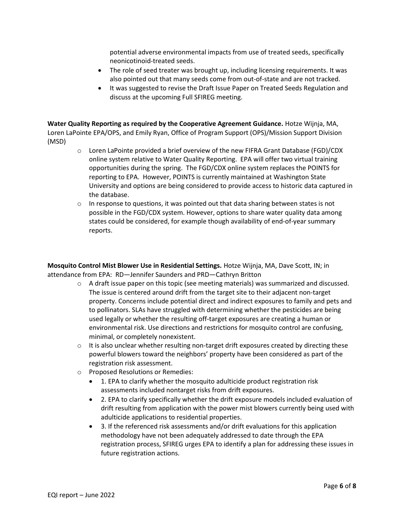potential adverse environmental impacts from use of treated seeds, specifically neonicotinoid-treated seeds.

- The role of seed treater was brought up, including licensing requirements. It was also pointed out that many seeds come from out-of-state and are not tracked.
- It was suggested to revise the Draft Issue Paper on Treated Seeds Regulation and discuss at the upcoming Full SFIREG meeting.

Water Quality Reporting as required by the Cooperative Agreement Guidance. Hotze Wijnja, MA, Loren LaPointe EPA/OPS, and Emily Ryan, Office of Program Support (OPS)/Mission Support Division (MSD)

- $\circ$  Loren LaPointe provided a brief overview of the new FIFRA Grant Database (FGD)/CDX online system relative to Water Quality Reporting. EPA will offer two virtual training opportunities during the spring. The FGD/CDX online system replaces the POINTS for reporting to EPA. However, POINTS is currently maintained at Washington State University and options are being considered to provide access to historic data captured in the database.
- $\circ$  In response to questions, it was pointed out that data sharing between states is not possible in the FGD/CDX system. However, options to share water quality data among states could be considered, for example though availability of end-of-year summary reports.

Mosquito Control Mist Blower Use in Residential Settings. Hotze Wijnja, MA, Dave Scott, IN; in attendance from EPA: RD—Jennifer Saunders and PRD—Cathryn Britton

- o A draft issue paper on this topic (see meeting materials) was summarized and discussed. The issue is centered around drift from the target site to their adjacent non-target property. Concerns include potential direct and indirect exposures to family and pets and to pollinators. SLAs have struggled with determining whether the pesticides are being used legally or whether the resulting off-target exposures are creating a human or environmental risk. Use directions and restrictions for mosquito control are confusing, minimal, or completely nonexistent.
- $\circ$  It is also unclear whether resulting non-target drift exposures created by directing these powerful blowers toward the neighbors' property have been considered as part of the registration risk assessment.
- o Proposed Resolutions or Remedies:
	- 1. EPA to clarify whether the mosquito adulticide product registration risk assessments included nontarget risks from drift exposures.
	- 2. EPA to clarify specifically whether the drift exposure models included evaluation of drift resulting from application with the power mist blowers currently being used with adulticide applications to residential properties.
	- 3. If the referenced risk assessments and/or drift evaluations for this application methodology have not been adequately addressed to date through the EPA registration process, SFIREG urges EPA to identify a plan for addressing these issues in future registration actions.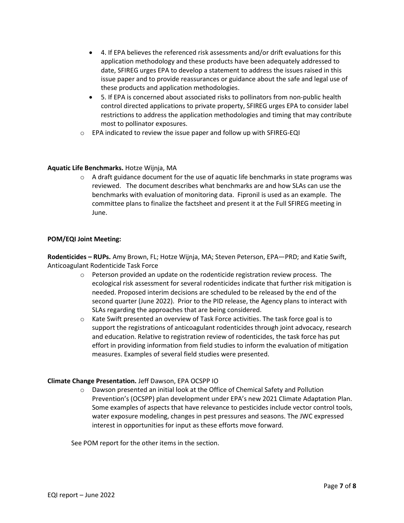- 4. If EPA believes the referenced risk assessments and/or drift evaluations for this application methodology and these products have been adequately addressed to date, SFIREG urges EPA to develop a statement to address the issues raised in this issue paper and to provide reassurances or guidance about the safe and legal use of these products and application methodologies.
- 5. If EPA is concerned about associated risks to pollinators from non-public health control directed applications to private property, SFIREG urges EPA to consider label restrictions to address the application methodologies and timing that may contribute most to pollinator exposures.
- o EPA indicated to review the issue paper and follow up with SFIREG-EQI

### Aquatic Life Benchmarks. Hotze Wijnja, MA

 $\circ$  A draft guidance document for the use of aquatic life benchmarks in state programs was reviewed. The document describes what benchmarks are and how SLAs can use the benchmarks with evaluation of monitoring data. Fipronil is used as an example. The committee plans to finalize the factsheet and present it at the Full SFIREG meeting in June.

### POM/EQI Joint Meeting:

Rodenticides – RUPs. Amy Brown, FL; Hotze Wijnja, MA; Steven Peterson, EPA—PRD; and Katie Swift, Anticoagulant Rodenticide Task Force

- $\circ$  Peterson provided an update on the rodenticide registration review process. The ecological risk assessment for several rodenticides indicate that further risk mitigation is needed. Proposed interim decisions are scheduled to be released by the end of the second quarter (June 2022). Prior to the PID release, the Agency plans to interact with SLAs regarding the approaches that are being considered.
- $\circ$  Kate Swift presented an overview of Task Force activities. The task force goal is to support the registrations of anticoagulant rodenticides through joint advocacy, research and education. Relative to registration review of rodenticides, the task force has put effort in providing information from field studies to inform the evaluation of mitigation measures. Examples of several field studies were presented.

#### Climate Change Presentation. Jeff Dawson, EPA OCSPP IO

o Dawson presented an initial look at the Office of Chemical Safety and Pollution Prevention's (OCSPP) plan development under EPA's new 2021 Climate Adaptation Plan. Some examples of aspects that have relevance to pesticides include vector control tools, water exposure modeling, changes in pest pressures and seasons. The JWC expressed interest in opportunities for input as these efforts move forward.

See POM report for the other items in the section.